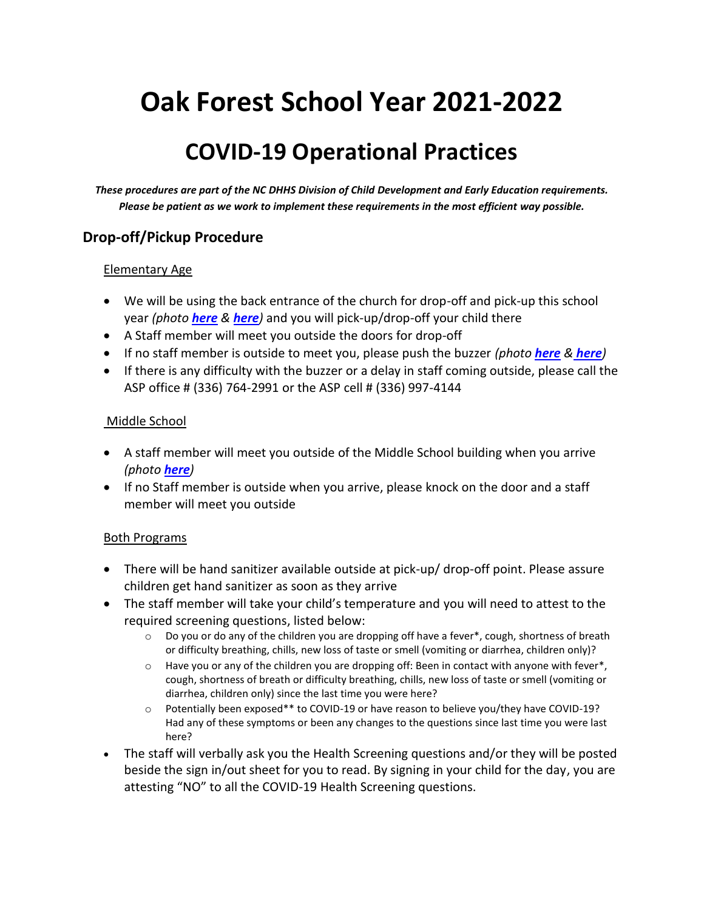# **Oak Forest School Year 2021-2022**

# **COVID-19 Operational Practices**

*These procedures are part of the NC DHHS Division of Child Development and Early Education requirements. Please be patient as we work to implement these requirements in the most efficient way possible.*

#### **Drop-off/Pickup Procedure**

#### Elementary Age

- We will be using the back entrance of the church for drop-off and pick-up this school year *(photo [here](file:///C:/Users/Owner/Documents/back%20door%202.jpg) & [here](file:///C:/Users/Owner/Documents/back%20door.jpg))* and you will pick-up/drop-off your child there
- A Staff member will meet you outside the doors for drop-off
- If no staff member is outside to meet you, please push the buzzer *(photo [here](file:///C:/Users/Owner/Documents/buzzer%202.jpg) & [here](file:///C:/Users/Owner/Documents/buzzer.jpg))*
- If there is any difficulty with the buzzer or a delay in staff coming outside, please call the ASP office # (336) 764-2991 or the ASP cell # (336) 997-4144

#### Middle School

- A staff member will meet you outside of the Middle School building when you arrive *(photo [here](file:///C:/Users/Owner/Documents/middle%20school%20building%201.jpg))*
- If no Staff member is outside when you arrive, please knock on the door and a staff member will meet you outside

#### Both Programs

- There will be hand sanitizer available outside at pick-up/ drop-off point. Please assure children get hand sanitizer as soon as they arrive
- The staff member will take your child's temperature and you will need to attest to the required screening questions, listed below:
	- $\circ$  Do you or do any of the children you are dropping off have a fever\*, cough, shortness of breath or difficulty breathing, chills, new loss of taste or smell (vomiting or diarrhea, children only)?
	- $\circ$  Have you or any of the children you are dropping off: Been in contact with anyone with fever\*, cough, shortness of breath or difficulty breathing, chills, new loss of taste or smell (vomiting or diarrhea, children only) since the last time you were here?
	- Potentially been exposed\*\* to COVID-19 or have reason to believe you/they have COVID-19? Had any of these symptoms or been any changes to the questions since last time you were last here?
- The staff will verbally ask you the Health Screening questions and/or they will be posted beside the sign in/out sheet for you to read. By signing in your child for the day, you are attesting "NO" to all the COVID-19 Health Screening questions.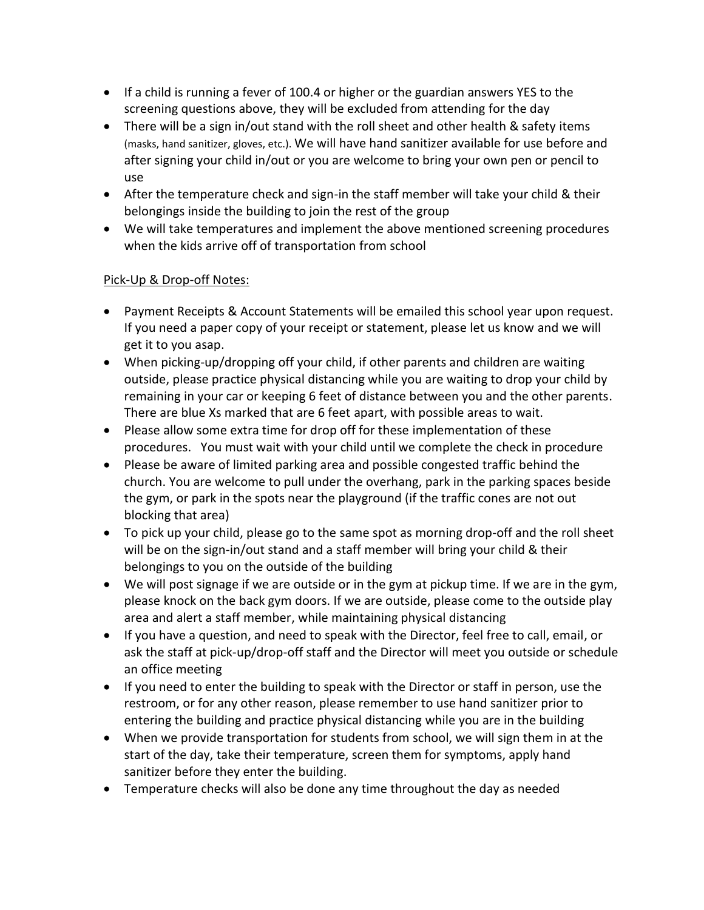- If a child is running a fever of 100.4 or higher or the guardian answers YES to the screening questions above, they will be excluded from attending for the day
- There will be a sign in/out stand with the roll sheet and other health & safety items (masks, hand sanitizer, gloves, etc.). We will have hand sanitizer available for use before and after signing your child in/out or you are welcome to bring your own pen or pencil to use
- After the temperature check and sign-in the staff member will take your child & their belongings inside the building to join the rest of the group
- We will take temperatures and implement the above mentioned screening procedures when the kids arrive off of transportation from school

#### Pick-Up & Drop-off Notes:

- Payment Receipts & Account Statements will be emailed this school year upon request. If you need a paper copy of your receipt or statement, please let us know and we will get it to you asap.
- When picking-up/dropping off your child, if other parents and children are waiting outside, please practice physical distancing while you are waiting to drop your child by remaining in your car or keeping 6 feet of distance between you and the other parents. There are blue Xs marked that are 6 feet apart, with possible areas to wait.
- Please allow some extra time for drop off for these implementation of these procedures. You must wait with your child until we complete the check in procedure
- Please be aware of limited parking area and possible congested traffic behind the church. You are welcome to pull under the overhang, park in the parking spaces beside the gym, or park in the spots near the playground (if the traffic cones are not out blocking that area)
- To pick up your child, please go to the same spot as morning drop-off and the roll sheet will be on the sign-in/out stand and a staff member will bring your child & their belongings to you on the outside of the building
- We will post signage if we are outside or in the gym at pickup time. If we are in the gym, please knock on the back gym doors. If we are outside, please come to the outside play area and alert a staff member, while maintaining physical distancing
- If you have a question, and need to speak with the Director, feel free to call, email, or ask the staff at pick-up/drop-off staff and the Director will meet you outside or schedule an office meeting
- If you need to enter the building to speak with the Director or staff in person, use the restroom, or for any other reason, please remember to use hand sanitizer prior to entering the building and practice physical distancing while you are in the building
- When we provide transportation for students from school, we will sign them in at the start of the day, take their temperature, screen them for symptoms, apply hand sanitizer before they enter the building.
- Temperature checks will also be done any time throughout the day as needed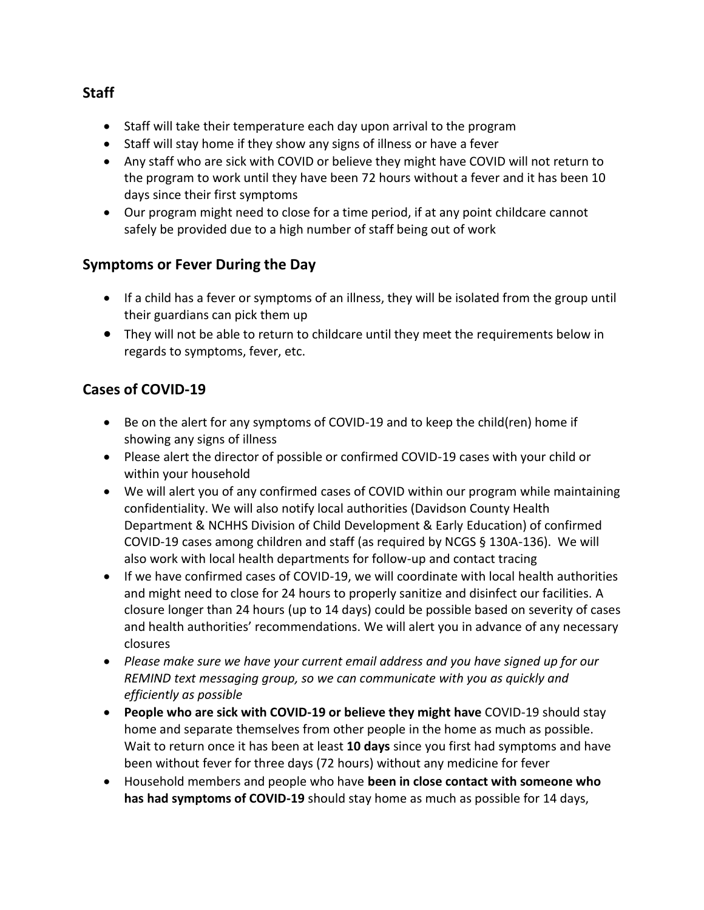- Staff will take their temperature each day upon arrival to the program
- Staff will stay home if they show any signs of illness or have a fever
- Any staff who are sick with COVID or believe they might have COVID will not return to the program to work until they have been 72 hours without a fever and it has been 10 days since their first symptoms
- Our program might need to close for a time period, if at any point childcare cannot safely be provided due to a high number of staff being out of work

#### **Symptoms or Fever During the Day**

- If a child has a fever or symptoms of an illness, they will be isolated from the group until their guardians can pick them up
- They will not be able to return to childcare until they meet the requirements below in regards to symptoms, fever, etc.

## **Cases of COVID-19**

- Be on the alert for any symptoms of COVID-19 and to keep the child(ren) home if showing any signs of illness
- Please alert the director of possible or confirmed COVID-19 cases with your child or within your household
- We will alert you of any confirmed cases of COVID within our program while maintaining confidentiality. We will also notify local authorities (Davidson County Health Department & NCHHS Division of Child Development & Early Education) of confirmed COVID-19 cases among children and staff (as required by NCGS § 130A-136). We will also work with local health departments for follow-up and contact tracing
- If we have confirmed cases of COVID-19, we will coordinate with local health authorities and might need to close for 24 hours to properly sanitize and disinfect our facilities. A closure longer than 24 hours (up to 14 days) could be possible based on severity of cases and health authorities' recommendations. We will alert you in advance of any necessary closures
- *Please make sure we have your current email address and you have signed up for our REMIND text messaging group, so we can communicate with you as quickly and efficiently as possible*
- **People who are sick with COVID-19 or believe they might have** COVID-19 should stay home and separate themselves from other people in the home as much as possible. Wait to return once it has been at least **10 days** since you first had symptoms and have been without fever for three days (72 hours) without any medicine for fever
- Household members and people who have **been in close contact with someone who has had symptoms of COVID-19** should stay home as much as possible for 14 days,

#### **Staff**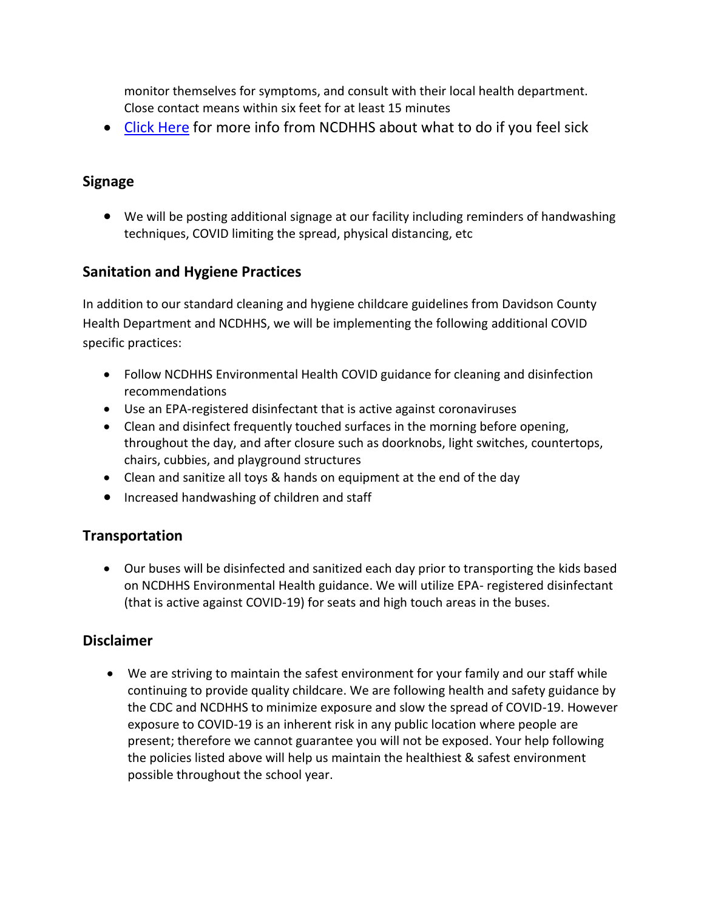monitor themselves for symptoms, and consult with their local health department. Close contact means within six feet for at least 15 minutes

• [Click Here](file:///C:/Users/Owner/Downloads/C19-PatientGuidance-3.23.20-FINAL--003-.pdf) for more info from NCDHHS about what to do if you feel sick

# **Signage**

 We will be posting additional signage at our facility including reminders of handwashing techniques, COVID limiting the spread, physical distancing, etc

## **Sanitation and Hygiene Practices**

In addition to our standard cleaning and hygiene childcare guidelines from Davidson County Health Department and NCDHHS, we will be implementing the following additional COVID specific practices:

- Follow NCDHHS Environmental Health COVID guidance for cleaning and disinfection recommendations
- Use an EPA-registered disinfectant that is active against coronaviruses
- Clean and disinfect frequently touched surfaces in the morning before opening, throughout the day, and after closure such as doorknobs, light switches, countertops, chairs, cubbies, and playground structures
- Clean and sanitize all toys & hands on equipment at the end of the day
- Increased handwashing of children and staff

#### **Transportation**

 Our buses will be disinfected and sanitized each day prior to transporting the kids based on NCDHHS Environmental Health guidance. We will utilize EPA- registered disinfectant (that is active against COVID-19) for seats and high touch areas in the buses.

#### **Disclaimer**

 We are striving to maintain the safest environment for your family and our staff while continuing to provide quality childcare. We are following health and safety guidance by the CDC and NCDHHS to minimize exposure and slow the spread of COVID-19. However exposure to COVID-19 is an inherent risk in any public location where people are present; therefore we cannot guarantee you will not be exposed. Your help following the policies listed above will help us maintain the healthiest & safest environment possible throughout the school year.